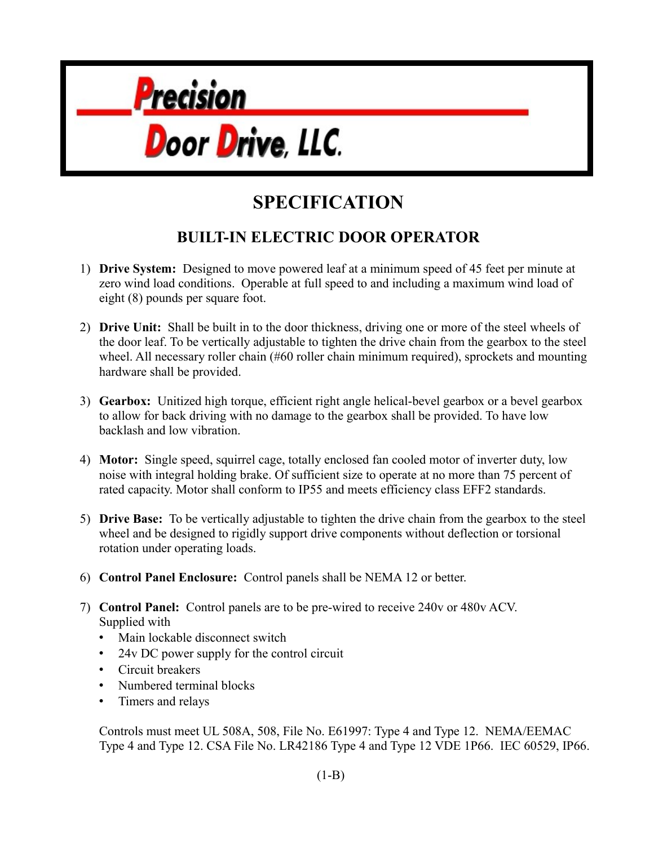

## **SPECIFICATION**

## **BUILT-IN ELECTRIC DOOR OPERATOR**

- 1) **Drive System:** Designed to move powered leaf at a minimum speed of 45 feet per minute at zero wind load conditions. Operable at full speed to and including a maximum wind load of eight (8) pounds per square foot.
- 2) **Drive Unit:** Shall be built in to the door thickness, driving one or more of the steel wheels of the door leaf. To be vertically adjustable to tighten the drive chain from the gearbox to the steel wheel. All necessary roller chain (#60 roller chain minimum required), sprockets and mounting hardware shall be provided.
- 3) **Gearbox:** Unitized high torque, efficient right angle helical-bevel gearbox or a bevel gearbox to allow for back driving with no damage to the gearbox shall be provided. To have low backlash and low vibration.
- 4) **Motor:** Single speed, squirrel cage, totally enclosed fan cooled motor of inverter duty, low noise with integral holding brake. Of sufficient size to operate at no more than 75 percent of rated capacity. Motor shall conform to IP55 and meets efficiency class EFF2 standards.
- 5) **Drive Base:** To be vertically adjustable to tighten the drive chain from the gearbox to the steel wheel and be designed to rigidly support drive components without deflection or torsional rotation under operating loads.
- 6) **Control Panel Enclosure:** Control panels shall be NEMA 12 or better.
- 7) **Control Panel:** Control panels are to be pre-wired to receive 240v or 480v ACV. Supplied with
	- Main lockable disconnect switch
	- 24y DC power supply for the control circuit
	- Circuit breakers
	- Numbered terminal blocks
	- Timers and relays

Controls must meet UL 508A, 508, File No. E61997: Type 4 and Type 12. NEMA/EEMAC Type 4 and Type 12. CSA File No. LR42186 Type 4 and Type 12 VDE 1P66. IEC 60529, IP66.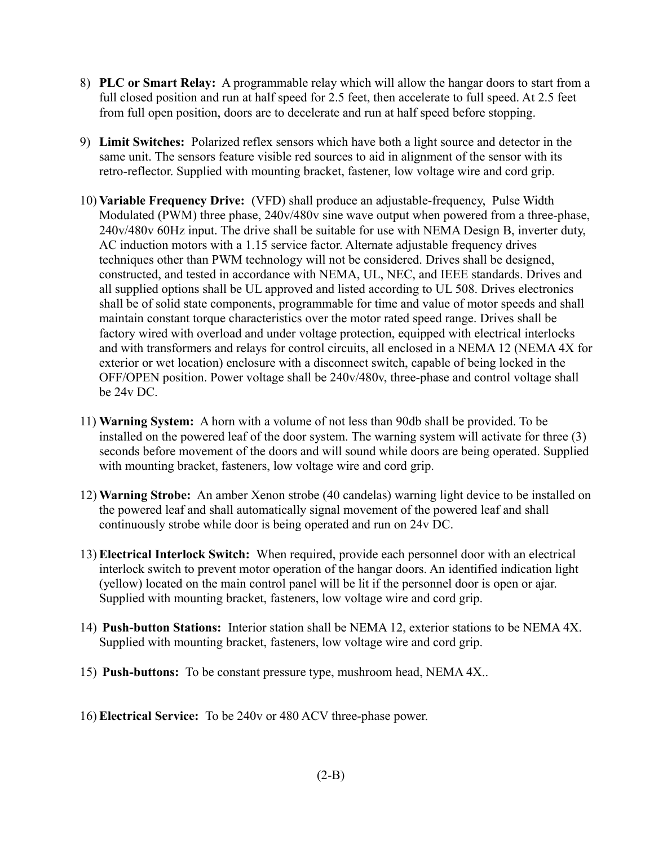- 8) **PLC or Smart Relay:** A programmable relay which will allow the hangar doors to start from a full closed position and run at half speed for 2.5 feet, then accelerate to full speed. At 2.5 feet from full open position, doors are to decelerate and run at half speed before stopping.
- 9) **Limit Switches:** Polarized reflex sensors which have both a light source and detector in the same unit. The sensors feature visible red sources to aid in alignment of the sensor with its retro-reflector. Supplied with mounting bracket, fastener, low voltage wire and cord grip.
- 10) **Variable Frequency Drive:** (VFD) shall produce an adjustable-frequency, Pulse Width Modulated (PWM) three phase, 240v/480v sine wave output when powered from a three-phase, 240v/480v 60Hz input. The drive shall be suitable for use with NEMA Design B, inverter duty, AC induction motors with a 1.15 service factor. Alternate adjustable frequency drives techniques other than PWM technology will not be considered. Drives shall be designed, constructed, and tested in accordance with NEMA, UL, NEC, and IEEE standards. Drives and all supplied options shall be UL approved and listed according to UL 508. Drives electronics shall be of solid state components, programmable for time and value of motor speeds and shall maintain constant torque characteristics over the motor rated speed range. Drives shall be factory wired with overload and under voltage protection, equipped with electrical interlocks and with transformers and relays for control circuits, all enclosed in a NEMA 12 (NEMA 4X for exterior or wet location) enclosure with a disconnect switch, capable of being locked in the OFF/OPEN position. Power voltage shall be 240v/480v, three-phase and control voltage shall be 24v DC.
- 11) **Warning System:** A horn with a volume of not less than 90db shall be provided. To be installed on the powered leaf of the door system. The warning system will activate for three (3) seconds before movement of the doors and will sound while doors are being operated. Supplied with mounting bracket, fasteners, low voltage wire and cord grip.
- 12) **Warning Strobe:** An amber Xenon strobe (40 candelas) warning light device to be installed on the powered leaf and shall automatically signal movement of the powered leaf and shall continuously strobe while door is being operated and run on 24v DC.
- 13) **Electrical Interlock Switch:** When required, provide each personnel door with an electrical interlock switch to prevent motor operation of the hangar doors. An identified indication light (yellow) located on the main control panel will be lit if the personnel door is open or ajar. Supplied with mounting bracket, fasteners, low voltage wire and cord grip.
- 14) **Push-button Stations:** Interior station shall be NEMA 12, exterior stations to be NEMA 4X. Supplied with mounting bracket, fasteners, low voltage wire and cord grip.
- 15) **Push-buttons:** To be constant pressure type, mushroom head, NEMA 4X..
- 16) **Electrical Service:** To be 240v or 480 ACV three-phase power.